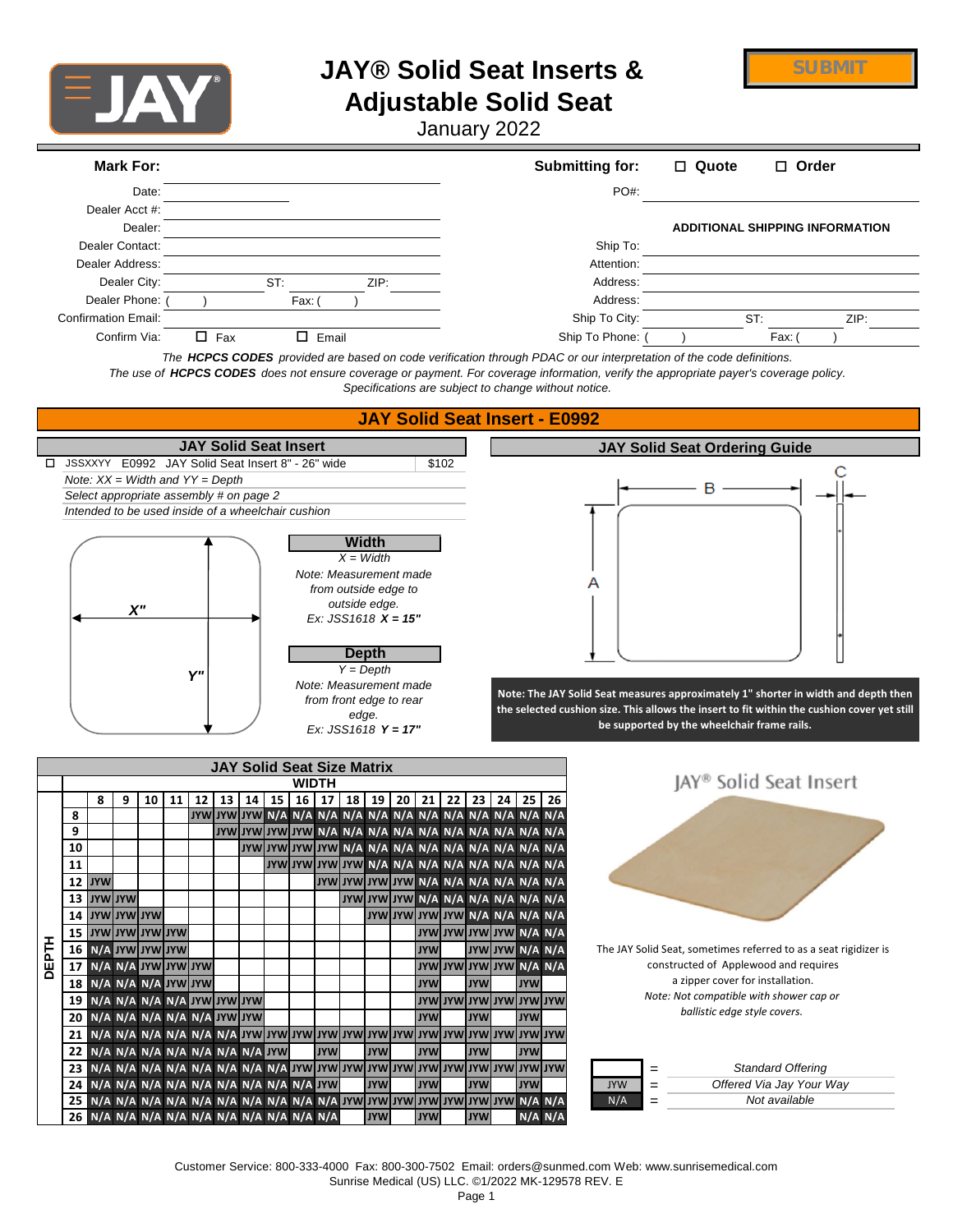

# **JAY® Solid Seat Inserts &**

**SUBMIT**

## **Adjustable Solid Seat**

January 2022

| Date:<br>PO#:<br>Dealer Acct #:<br>Dealer:<br><b>ADDITIONAL SHIPPING INFORMATION</b><br>Dealer Contact:<br>Ship To:<br>Dealer Address:<br>Attention:<br>Dealer City:<br>ST:<br>ZIP:<br>Address:<br>Dealer Phone:<br>Address:<br>Fax: (<br><b>Confirmation Email:</b><br>Ship To City:<br>ST:<br>ZIP:<br>Ship To Phone:<br>Confirm Via:<br>$\Box$ Fax<br>$\Box$ Email<br>Fax:<br>The HCPCS CODES provided are based on code verification through PDAC or our interpretation of the code definitions.<br>The use of HCPCS CODES does not ensure coverage or payment. For coverage information, verify the appropriate payer's coverage policy.<br>Specifications are subject to change without notice.<br><b>JAY Solid Seat Insert - E0992</b><br><b>JAY Solid Seat Insert</b><br><b>JAY Solid Seat Ordering Guide</b><br>JSSXXYY E0992 JAY Solid Seat Insert 8" - 26" wide<br>\$102<br>Note: $XX = Width$ and $YY = Depth$<br>В<br>Select appropriate assembly # on page 2<br>Intended to be used inside of a wheelchair cushion<br><b>Width</b><br>$X = Width$<br>Note: Measurement made<br>from outside edge to<br>outside edge.<br>X''<br>Ex: JSS1618 $X = 15"$<br><b>Depth</b><br>$Y = Deoth$<br>Υ"<br>Note: Measurement made<br>Note: The JAY Solid Seat measures approximately 1" shorter in width and depth then<br>from front edge to rear<br>the selected cushion size. This allows the insert to fit within the cushion cover yet still<br>edge.<br>be supported by the wheelchair frame rails.<br>Ex: JSS1618 $Y = 17"$<br><b>JAY Solid Seat Size Matrix</b><br>JAY <sup>®</sup> Solid Seat Insert<br><b>WIDTH</b><br>14   15   16   17   18   19   20   21  <br>13 <sup>1</sup><br>8<br>9<br>10<br>11<br>12<br>22 <sub>1</sub><br>23 24 25 26<br>8<br>9<br>10<br>JYW JYW JYW JYW N/A N/A N/A N/A N/A N/A N/A N/A<br>11<br>IYW JYW JYW JYW N/A N/A N/A N/A N/A N/A<br>12 JYW<br>13 JYW JYW<br>JYW JYW JYW N/A N/A N/A N/A N/A N/A<br>14 JYW JYW JYW<br><b>JYW JYW JYW JYW N/A N/A N/A N/A</b><br><b>WYLWYLWYLWYL</b><br><b>JYW XYW WYU WYA N/A</b><br>15<br><b>DEPTH</b><br><b>N/A JYW JYW JYW</b><br><b>JYW</b><br>JYW JYW N/A N/A<br>The JAY Solid Seat, sometimes referred to as a seat rigidizer is<br>16<br>constructed of Applewood and requires<br>N/A N/A JYWUWUYW<br><b>A/A A/A WYUWYUWYUWYU</b><br>17<br>a zipper cover for installation.<br>N/A N/A N/A JYW JYW<br><b>JYW</b><br><b>JYW</b><br><b>JYW</b><br>18<br>Note: Not compatible with shower cap or<br>19 N/A N/A N/A N/A JYW JYW JYW<br>wyt wyt i wyt i wyt i wyt i wyt i<br>ballistic edge style covers.<br>20 N/A N/A N/A N/A N/A JYW JYW<br><b>JYW</b><br><b>JYW</b><br><b>JYW</b><br>N/A N/A N/A N/A N/A N/A N/A N/A<br><b>JYW</b><br><b>JYW</b><br><b>JYW</b><br><b>JYW</b><br><b>JYW</b><br>22 <sub>1</sub><br><b>Standard Offering</b><br>23<br>$=$<br><b>JYW</b><br><b>JYW</b><br>Offered Via Jay Your Way<br><b>JYW</b><br><b>JYW</b><br><b>JYW</b> |  | <b>Mark For:</b> |  |  |  |  |  |  |  |  | <b>Submitting for:</b> |     | $\square$ Quote |  | $\Box$ Order |  |
|-------------------------------------------------------------------------------------------------------------------------------------------------------------------------------------------------------------------------------------------------------------------------------------------------------------------------------------------------------------------------------------------------------------------------------------------------------------------------------------------------------------------------------------------------------------------------------------------------------------------------------------------------------------------------------------------------------------------------------------------------------------------------------------------------------------------------------------------------------------------------------------------------------------------------------------------------------------------------------------------------------------------------------------------------------------------------------------------------------------------------------------------------------------------------------------------------------------------------------------------------------------------------------------------------------------------------------------------------------------------------------------------------------------------------------------------------------------------------------------------------------------------------------------------------------------------------------------------------------------------------------------------------------------------------------------------------------------------------------------------------------------------------------------------------------------------------------------------------------------------------------------------------------------------------------------------------------------------------------------------------------------------------------------------------------------------------------------------------------------------------------------------------------------------------------------------------------------------------------------------------------------------------------------------------------------------------------------------------------------------------------------------------------------------------------------------------------------------------------------------------------------------------------------------------------------------------------------------------------------------------------------------------------------------------------------------------------------------------------------------------------------------------------------------------------------------------------------------------------------------------------------------------------------------------------------------|--|------------------|--|--|--|--|--|--|--|--|------------------------|-----|-----------------|--|--------------|--|
|                                                                                                                                                                                                                                                                                                                                                                                                                                                                                                                                                                                                                                                                                                                                                                                                                                                                                                                                                                                                                                                                                                                                                                                                                                                                                                                                                                                                                                                                                                                                                                                                                                                                                                                                                                                                                                                                                                                                                                                                                                                                                                                                                                                                                                                                                                                                                                                                                                                                                                                                                                                                                                                                                                                                                                                                                                                                                                                                           |  |                  |  |  |  |  |  |  |  |  |                        |     |                 |  |              |  |
|                                                                                                                                                                                                                                                                                                                                                                                                                                                                                                                                                                                                                                                                                                                                                                                                                                                                                                                                                                                                                                                                                                                                                                                                                                                                                                                                                                                                                                                                                                                                                                                                                                                                                                                                                                                                                                                                                                                                                                                                                                                                                                                                                                                                                                                                                                                                                                                                                                                                                                                                                                                                                                                                                                                                                                                                                                                                                                                                           |  |                  |  |  |  |  |  |  |  |  |                        |     |                 |  |              |  |
|                                                                                                                                                                                                                                                                                                                                                                                                                                                                                                                                                                                                                                                                                                                                                                                                                                                                                                                                                                                                                                                                                                                                                                                                                                                                                                                                                                                                                                                                                                                                                                                                                                                                                                                                                                                                                                                                                                                                                                                                                                                                                                                                                                                                                                                                                                                                                                                                                                                                                                                                                                                                                                                                                                                                                                                                                                                                                                                                           |  |                  |  |  |  |  |  |  |  |  |                        |     |                 |  |              |  |
|                                                                                                                                                                                                                                                                                                                                                                                                                                                                                                                                                                                                                                                                                                                                                                                                                                                                                                                                                                                                                                                                                                                                                                                                                                                                                                                                                                                                                                                                                                                                                                                                                                                                                                                                                                                                                                                                                                                                                                                                                                                                                                                                                                                                                                                                                                                                                                                                                                                                                                                                                                                                                                                                                                                                                                                                                                                                                                                                           |  |                  |  |  |  |  |  |  |  |  |                        |     |                 |  |              |  |
|                                                                                                                                                                                                                                                                                                                                                                                                                                                                                                                                                                                                                                                                                                                                                                                                                                                                                                                                                                                                                                                                                                                                                                                                                                                                                                                                                                                                                                                                                                                                                                                                                                                                                                                                                                                                                                                                                                                                                                                                                                                                                                                                                                                                                                                                                                                                                                                                                                                                                                                                                                                                                                                                                                                                                                                                                                                                                                                                           |  |                  |  |  |  |  |  |  |  |  |                        |     |                 |  |              |  |
|                                                                                                                                                                                                                                                                                                                                                                                                                                                                                                                                                                                                                                                                                                                                                                                                                                                                                                                                                                                                                                                                                                                                                                                                                                                                                                                                                                                                                                                                                                                                                                                                                                                                                                                                                                                                                                                                                                                                                                                                                                                                                                                                                                                                                                                                                                                                                                                                                                                                                                                                                                                                                                                                                                                                                                                                                                                                                                                                           |  |                  |  |  |  |  |  |  |  |  |                        |     |                 |  |              |  |
|                                                                                                                                                                                                                                                                                                                                                                                                                                                                                                                                                                                                                                                                                                                                                                                                                                                                                                                                                                                                                                                                                                                                                                                                                                                                                                                                                                                                                                                                                                                                                                                                                                                                                                                                                                                                                                                                                                                                                                                                                                                                                                                                                                                                                                                                                                                                                                                                                                                                                                                                                                                                                                                                                                                                                                                                                                                                                                                                           |  |                  |  |  |  |  |  |  |  |  |                        |     |                 |  |              |  |
|                                                                                                                                                                                                                                                                                                                                                                                                                                                                                                                                                                                                                                                                                                                                                                                                                                                                                                                                                                                                                                                                                                                                                                                                                                                                                                                                                                                                                                                                                                                                                                                                                                                                                                                                                                                                                                                                                                                                                                                                                                                                                                                                                                                                                                                                                                                                                                                                                                                                                                                                                                                                                                                                                                                                                                                                                                                                                                                                           |  |                  |  |  |  |  |  |  |  |  |                        |     |                 |  |              |  |
|                                                                                                                                                                                                                                                                                                                                                                                                                                                                                                                                                                                                                                                                                                                                                                                                                                                                                                                                                                                                                                                                                                                                                                                                                                                                                                                                                                                                                                                                                                                                                                                                                                                                                                                                                                                                                                                                                                                                                                                                                                                                                                                                                                                                                                                                                                                                                                                                                                                                                                                                                                                                                                                                                                                                                                                                                                                                                                                                           |  |                  |  |  |  |  |  |  |  |  |                        |     |                 |  |              |  |
|                                                                                                                                                                                                                                                                                                                                                                                                                                                                                                                                                                                                                                                                                                                                                                                                                                                                                                                                                                                                                                                                                                                                                                                                                                                                                                                                                                                                                                                                                                                                                                                                                                                                                                                                                                                                                                                                                                                                                                                                                                                                                                                                                                                                                                                                                                                                                                                                                                                                                                                                                                                                                                                                                                                                                                                                                                                                                                                                           |  |                  |  |  |  |  |  |  |  |  |                        |     |                 |  |              |  |
|                                                                                                                                                                                                                                                                                                                                                                                                                                                                                                                                                                                                                                                                                                                                                                                                                                                                                                                                                                                                                                                                                                                                                                                                                                                                                                                                                                                                                                                                                                                                                                                                                                                                                                                                                                                                                                                                                                                                                                                                                                                                                                                                                                                                                                                                                                                                                                                                                                                                                                                                                                                                                                                                                                                                                                                                                                                                                                                                           |  |                  |  |  |  |  |  |  |  |  |                        |     |                 |  |              |  |
|                                                                                                                                                                                                                                                                                                                                                                                                                                                                                                                                                                                                                                                                                                                                                                                                                                                                                                                                                                                                                                                                                                                                                                                                                                                                                                                                                                                                                                                                                                                                                                                                                                                                                                                                                                                                                                                                                                                                                                                                                                                                                                                                                                                                                                                                                                                                                                                                                                                                                                                                                                                                                                                                                                                                                                                                                                                                                                                                           |  |                  |  |  |  |  |  |  |  |  |                        |     |                 |  |              |  |
|                                                                                                                                                                                                                                                                                                                                                                                                                                                                                                                                                                                                                                                                                                                                                                                                                                                                                                                                                                                                                                                                                                                                                                                                                                                                                                                                                                                                                                                                                                                                                                                                                                                                                                                                                                                                                                                                                                                                                                                                                                                                                                                                                                                                                                                                                                                                                                                                                                                                                                                                                                                                                                                                                                                                                                                                                                                                                                                                           |  |                  |  |  |  |  |  |  |  |  |                        |     |                 |  |              |  |
|                                                                                                                                                                                                                                                                                                                                                                                                                                                                                                                                                                                                                                                                                                                                                                                                                                                                                                                                                                                                                                                                                                                                                                                                                                                                                                                                                                                                                                                                                                                                                                                                                                                                                                                                                                                                                                                                                                                                                                                                                                                                                                                                                                                                                                                                                                                                                                                                                                                                                                                                                                                                                                                                                                                                                                                                                                                                                                                                           |  |                  |  |  |  |  |  |  |  |  |                        |     |                 |  |              |  |
|                                                                                                                                                                                                                                                                                                                                                                                                                                                                                                                                                                                                                                                                                                                                                                                                                                                                                                                                                                                                                                                                                                                                                                                                                                                                                                                                                                                                                                                                                                                                                                                                                                                                                                                                                                                                                                                                                                                                                                                                                                                                                                                                                                                                                                                                                                                                                                                                                                                                                                                                                                                                                                                                                                                                                                                                                                                                                                                                           |  |                  |  |  |  |  |  |  |  |  |                        |     |                 |  |              |  |
|                                                                                                                                                                                                                                                                                                                                                                                                                                                                                                                                                                                                                                                                                                                                                                                                                                                                                                                                                                                                                                                                                                                                                                                                                                                                                                                                                                                                                                                                                                                                                                                                                                                                                                                                                                                                                                                                                                                                                                                                                                                                                                                                                                                                                                                                                                                                                                                                                                                                                                                                                                                                                                                                                                                                                                                                                                                                                                                                           |  |                  |  |  |  |  |  |  |  |  |                        |     |                 |  |              |  |
|                                                                                                                                                                                                                                                                                                                                                                                                                                                                                                                                                                                                                                                                                                                                                                                                                                                                                                                                                                                                                                                                                                                                                                                                                                                                                                                                                                                                                                                                                                                                                                                                                                                                                                                                                                                                                                                                                                                                                                                                                                                                                                                                                                                                                                                                                                                                                                                                                                                                                                                                                                                                                                                                                                                                                                                                                                                                                                                                           |  |                  |  |  |  |  |  |  |  |  |                        |     |                 |  |              |  |
|                                                                                                                                                                                                                                                                                                                                                                                                                                                                                                                                                                                                                                                                                                                                                                                                                                                                                                                                                                                                                                                                                                                                                                                                                                                                                                                                                                                                                                                                                                                                                                                                                                                                                                                                                                                                                                                                                                                                                                                                                                                                                                                                                                                                                                                                                                                                                                                                                                                                                                                                                                                                                                                                                                                                                                                                                                                                                                                                           |  |                  |  |  |  |  |  |  |  |  |                        |     |                 |  |              |  |
|                                                                                                                                                                                                                                                                                                                                                                                                                                                                                                                                                                                                                                                                                                                                                                                                                                                                                                                                                                                                                                                                                                                                                                                                                                                                                                                                                                                                                                                                                                                                                                                                                                                                                                                                                                                                                                                                                                                                                                                                                                                                                                                                                                                                                                                                                                                                                                                                                                                                                                                                                                                                                                                                                                                                                                                                                                                                                                                                           |  |                  |  |  |  |  |  |  |  |  |                        |     |                 |  |              |  |
|                                                                                                                                                                                                                                                                                                                                                                                                                                                                                                                                                                                                                                                                                                                                                                                                                                                                                                                                                                                                                                                                                                                                                                                                                                                                                                                                                                                                                                                                                                                                                                                                                                                                                                                                                                                                                                                                                                                                                                                                                                                                                                                                                                                                                                                                                                                                                                                                                                                                                                                                                                                                                                                                                                                                                                                                                                                                                                                                           |  |                  |  |  |  |  |  |  |  |  |                        |     |                 |  |              |  |
|                                                                                                                                                                                                                                                                                                                                                                                                                                                                                                                                                                                                                                                                                                                                                                                                                                                                                                                                                                                                                                                                                                                                                                                                                                                                                                                                                                                                                                                                                                                                                                                                                                                                                                                                                                                                                                                                                                                                                                                                                                                                                                                                                                                                                                                                                                                                                                                                                                                                                                                                                                                                                                                                                                                                                                                                                                                                                                                                           |  |                  |  |  |  |  |  |  |  |  |                        |     |                 |  |              |  |
|                                                                                                                                                                                                                                                                                                                                                                                                                                                                                                                                                                                                                                                                                                                                                                                                                                                                                                                                                                                                                                                                                                                                                                                                                                                                                                                                                                                                                                                                                                                                                                                                                                                                                                                                                                                                                                                                                                                                                                                                                                                                                                                                                                                                                                                                                                                                                                                                                                                                                                                                                                                                                                                                                                                                                                                                                                                                                                                                           |  |                  |  |  |  |  |  |  |  |  |                        |     |                 |  |              |  |
|                                                                                                                                                                                                                                                                                                                                                                                                                                                                                                                                                                                                                                                                                                                                                                                                                                                                                                                                                                                                                                                                                                                                                                                                                                                                                                                                                                                                                                                                                                                                                                                                                                                                                                                                                                                                                                                                                                                                                                                                                                                                                                                                                                                                                                                                                                                                                                                                                                                                                                                                                                                                                                                                                                                                                                                                                                                                                                                                           |  |                  |  |  |  |  |  |  |  |  |                        |     |                 |  |              |  |
|                                                                                                                                                                                                                                                                                                                                                                                                                                                                                                                                                                                                                                                                                                                                                                                                                                                                                                                                                                                                                                                                                                                                                                                                                                                                                                                                                                                                                                                                                                                                                                                                                                                                                                                                                                                                                                                                                                                                                                                                                                                                                                                                                                                                                                                                                                                                                                                                                                                                                                                                                                                                                                                                                                                                                                                                                                                                                                                                           |  |                  |  |  |  |  |  |  |  |  |                        |     |                 |  |              |  |
|                                                                                                                                                                                                                                                                                                                                                                                                                                                                                                                                                                                                                                                                                                                                                                                                                                                                                                                                                                                                                                                                                                                                                                                                                                                                                                                                                                                                                                                                                                                                                                                                                                                                                                                                                                                                                                                                                                                                                                                                                                                                                                                                                                                                                                                                                                                                                                                                                                                                                                                                                                                                                                                                                                                                                                                                                                                                                                                                           |  |                  |  |  |  |  |  |  |  |  |                        |     |                 |  |              |  |
|                                                                                                                                                                                                                                                                                                                                                                                                                                                                                                                                                                                                                                                                                                                                                                                                                                                                                                                                                                                                                                                                                                                                                                                                                                                                                                                                                                                                                                                                                                                                                                                                                                                                                                                                                                                                                                                                                                                                                                                                                                                                                                                                                                                                                                                                                                                                                                                                                                                                                                                                                                                                                                                                                                                                                                                                                                                                                                                                           |  |                  |  |  |  |  |  |  |  |  |                        |     |                 |  |              |  |
|                                                                                                                                                                                                                                                                                                                                                                                                                                                                                                                                                                                                                                                                                                                                                                                                                                                                                                                                                                                                                                                                                                                                                                                                                                                                                                                                                                                                                                                                                                                                                                                                                                                                                                                                                                                                                                                                                                                                                                                                                                                                                                                                                                                                                                                                                                                                                                                                                                                                                                                                                                                                                                                                                                                                                                                                                                                                                                                                           |  |                  |  |  |  |  |  |  |  |  |                        |     |                 |  |              |  |
|                                                                                                                                                                                                                                                                                                                                                                                                                                                                                                                                                                                                                                                                                                                                                                                                                                                                                                                                                                                                                                                                                                                                                                                                                                                                                                                                                                                                                                                                                                                                                                                                                                                                                                                                                                                                                                                                                                                                                                                                                                                                                                                                                                                                                                                                                                                                                                                                                                                                                                                                                                                                                                                                                                                                                                                                                                                                                                                                           |  |                  |  |  |  |  |  |  |  |  |                        |     |                 |  |              |  |
|                                                                                                                                                                                                                                                                                                                                                                                                                                                                                                                                                                                                                                                                                                                                                                                                                                                                                                                                                                                                                                                                                                                                                                                                                                                                                                                                                                                                                                                                                                                                                                                                                                                                                                                                                                                                                                                                                                                                                                                                                                                                                                                                                                                                                                                                                                                                                                                                                                                                                                                                                                                                                                                                                                                                                                                                                                                                                                                                           |  |                  |  |  |  |  |  |  |  |  |                        |     |                 |  |              |  |
|                                                                                                                                                                                                                                                                                                                                                                                                                                                                                                                                                                                                                                                                                                                                                                                                                                                                                                                                                                                                                                                                                                                                                                                                                                                                                                                                                                                                                                                                                                                                                                                                                                                                                                                                                                                                                                                                                                                                                                                                                                                                                                                                                                                                                                                                                                                                                                                                                                                                                                                                                                                                                                                                                                                                                                                                                                                                                                                                           |  |                  |  |  |  |  |  |  |  |  |                        |     |                 |  |              |  |
|                                                                                                                                                                                                                                                                                                                                                                                                                                                                                                                                                                                                                                                                                                                                                                                                                                                                                                                                                                                                                                                                                                                                                                                                                                                                                                                                                                                                                                                                                                                                                                                                                                                                                                                                                                                                                                                                                                                                                                                                                                                                                                                                                                                                                                                                                                                                                                                                                                                                                                                                                                                                                                                                                                                                                                                                                                                                                                                                           |  |                  |  |  |  |  |  |  |  |  |                        |     |                 |  |              |  |
|                                                                                                                                                                                                                                                                                                                                                                                                                                                                                                                                                                                                                                                                                                                                                                                                                                                                                                                                                                                                                                                                                                                                                                                                                                                                                                                                                                                                                                                                                                                                                                                                                                                                                                                                                                                                                                                                                                                                                                                                                                                                                                                                                                                                                                                                                                                                                                                                                                                                                                                                                                                                                                                                                                                                                                                                                                                                                                                                           |  |                  |  |  |  |  |  |  |  |  |                        |     |                 |  |              |  |
|                                                                                                                                                                                                                                                                                                                                                                                                                                                                                                                                                                                                                                                                                                                                                                                                                                                                                                                                                                                                                                                                                                                                                                                                                                                                                                                                                                                                                                                                                                                                                                                                                                                                                                                                                                                                                                                                                                                                                                                                                                                                                                                                                                                                                                                                                                                                                                                                                                                                                                                                                                                                                                                                                                                                                                                                                                                                                                                                           |  |                  |  |  |  |  |  |  |  |  |                        |     |                 |  |              |  |
|                                                                                                                                                                                                                                                                                                                                                                                                                                                                                                                                                                                                                                                                                                                                                                                                                                                                                                                                                                                                                                                                                                                                                                                                                                                                                                                                                                                                                                                                                                                                                                                                                                                                                                                                                                                                                                                                                                                                                                                                                                                                                                                                                                                                                                                                                                                                                                                                                                                                                                                                                                                                                                                                                                                                                                                                                                                                                                                                           |  |                  |  |  |  |  |  |  |  |  |                        |     |                 |  |              |  |
|                                                                                                                                                                                                                                                                                                                                                                                                                                                                                                                                                                                                                                                                                                                                                                                                                                                                                                                                                                                                                                                                                                                                                                                                                                                                                                                                                                                                                                                                                                                                                                                                                                                                                                                                                                                                                                                                                                                                                                                                                                                                                                                                                                                                                                                                                                                                                                                                                                                                                                                                                                                                                                                                                                                                                                                                                                                                                                                                           |  |                  |  |  |  |  |  |  |  |  |                        |     |                 |  |              |  |
|                                                                                                                                                                                                                                                                                                                                                                                                                                                                                                                                                                                                                                                                                                                                                                                                                                                                                                                                                                                                                                                                                                                                                                                                                                                                                                                                                                                                                                                                                                                                                                                                                                                                                                                                                                                                                                                                                                                                                                                                                                                                                                                                                                                                                                                                                                                                                                                                                                                                                                                                                                                                                                                                                                                                                                                                                                                                                                                                           |  |                  |  |  |  |  |  |  |  |  |                        |     |                 |  |              |  |
|                                                                                                                                                                                                                                                                                                                                                                                                                                                                                                                                                                                                                                                                                                                                                                                                                                                                                                                                                                                                                                                                                                                                                                                                                                                                                                                                                                                                                                                                                                                                                                                                                                                                                                                                                                                                                                                                                                                                                                                                                                                                                                                                                                                                                                                                                                                                                                                                                                                                                                                                                                                                                                                                                                                                                                                                                                                                                                                                           |  |                  |  |  |  |  |  |  |  |  |                        |     |                 |  |              |  |
|                                                                                                                                                                                                                                                                                                                                                                                                                                                                                                                                                                                                                                                                                                                                                                                                                                                                                                                                                                                                                                                                                                                                                                                                                                                                                                                                                                                                                                                                                                                                                                                                                                                                                                                                                                                                                                                                                                                                                                                                                                                                                                                                                                                                                                                                                                                                                                                                                                                                                                                                                                                                                                                                                                                                                                                                                                                                                                                                           |  |                  |  |  |  |  |  |  |  |  |                        |     |                 |  |              |  |
|                                                                                                                                                                                                                                                                                                                                                                                                                                                                                                                                                                                                                                                                                                                                                                                                                                                                                                                                                                                                                                                                                                                                                                                                                                                                                                                                                                                                                                                                                                                                                                                                                                                                                                                                                                                                                                                                                                                                                                                                                                                                                                                                                                                                                                                                                                                                                                                                                                                                                                                                                                                                                                                                                                                                                                                                                                                                                                                                           |  |                  |  |  |  |  |  |  |  |  |                        |     |                 |  |              |  |
|                                                                                                                                                                                                                                                                                                                                                                                                                                                                                                                                                                                                                                                                                                                                                                                                                                                                                                                                                                                                                                                                                                                                                                                                                                                                                                                                                                                                                                                                                                                                                                                                                                                                                                                                                                                                                                                                                                                                                                                                                                                                                                                                                                                                                                                                                                                                                                                                                                                                                                                                                                                                                                                                                                                                                                                                                                                                                                                                           |  |                  |  |  |  |  |  |  |  |  |                        |     |                 |  |              |  |
|                                                                                                                                                                                                                                                                                                                                                                                                                                                                                                                                                                                                                                                                                                                                                                                                                                                                                                                                                                                                                                                                                                                                                                                                                                                                                                                                                                                                                                                                                                                                                                                                                                                                                                                                                                                                                                                                                                                                                                                                                                                                                                                                                                                                                                                                                                                                                                                                                                                                                                                                                                                                                                                                                                                                                                                                                                                                                                                                           |  |                  |  |  |  |  |  |  |  |  |                        |     |                 |  |              |  |
|                                                                                                                                                                                                                                                                                                                                                                                                                                                                                                                                                                                                                                                                                                                                                                                                                                                                                                                                                                                                                                                                                                                                                                                                                                                                                                                                                                                                                                                                                                                                                                                                                                                                                                                                                                                                                                                                                                                                                                                                                                                                                                                                                                                                                                                                                                                                                                                                                                                                                                                                                                                                                                                                                                                                                                                                                                                                                                                                           |  |                  |  |  |  |  |  |  |  |  |                        |     |                 |  |              |  |
|                                                                                                                                                                                                                                                                                                                                                                                                                                                                                                                                                                                                                                                                                                                                                                                                                                                                                                                                                                                                                                                                                                                                                                                                                                                                                                                                                                                                                                                                                                                                                                                                                                                                                                                                                                                                                                                                                                                                                                                                                                                                                                                                                                                                                                                                                                                                                                                                                                                                                                                                                                                                                                                                                                                                                                                                                                                                                                                                           |  |                  |  |  |  |  |  |  |  |  |                        |     |                 |  |              |  |
|                                                                                                                                                                                                                                                                                                                                                                                                                                                                                                                                                                                                                                                                                                                                                                                                                                                                                                                                                                                                                                                                                                                                                                                                                                                                                                                                                                                                                                                                                                                                                                                                                                                                                                                                                                                                                                                                                                                                                                                                                                                                                                                                                                                                                                                                                                                                                                                                                                                                                                                                                                                                                                                                                                                                                                                                                                                                                                                                           |  |                  |  |  |  |  |  |  |  |  |                        |     |                 |  |              |  |
|                                                                                                                                                                                                                                                                                                                                                                                                                                                                                                                                                                                                                                                                                                                                                                                                                                                                                                                                                                                                                                                                                                                                                                                                                                                                                                                                                                                                                                                                                                                                                                                                                                                                                                                                                                                                                                                                                                                                                                                                                                                                                                                                                                                                                                                                                                                                                                                                                                                                                                                                                                                                                                                                                                                                                                                                                                                                                                                                           |  |                  |  |  |  |  |  |  |  |  |                        |     |                 |  |              |  |
|                                                                                                                                                                                                                                                                                                                                                                                                                                                                                                                                                                                                                                                                                                                                                                                                                                                                                                                                                                                                                                                                                                                                                                                                                                                                                                                                                                                                                                                                                                                                                                                                                                                                                                                                                                                                                                                                                                                                                                                                                                                                                                                                                                                                                                                                                                                                                                                                                                                                                                                                                                                                                                                                                                                                                                                                                                                                                                                                           |  |                  |  |  |  |  |  |  |  |  |                        |     |                 |  |              |  |
| Not available<br>N/A<br>$=$                                                                                                                                                                                                                                                                                                                                                                                                                                                                                                                                                                                                                                                                                                                                                                                                                                                                                                                                                                                                                                                                                                                                                                                                                                                                                                                                                                                                                                                                                                                                                                                                                                                                                                                                                                                                                                                                                                                                                                                                                                                                                                                                                                                                                                                                                                                                                                                                                                                                                                                                                                                                                                                                                                                                                                                                                                                                                                               |  |                  |  |  |  |  |  |  |  |  |                        | $=$ |                 |  |              |  |
| <b>JYW</b><br><b>JYW</b><br><b>JYW</b><br>$N/A$ $N/A$                                                                                                                                                                                                                                                                                                                                                                                                                                                                                                                                                                                                                                                                                                                                                                                                                                                                                                                                                                                                                                                                                                                                                                                                                                                                                                                                                                                                                                                                                                                                                                                                                                                                                                                                                                                                                                                                                                                                                                                                                                                                                                                                                                                                                                                                                                                                                                                                                                                                                                                                                                                                                                                                                                                                                                                                                                                                                     |  |                  |  |  |  |  |  |  |  |  |                        |     |                 |  |              |  |

Customer Service: 800-333-4000 Fax: 800-300-7502 Email: orders@sunmed.com Web: www.sunrisemedical.com Sunrise Medical (US) LLC. ©1/2022 MK-129578 REV. E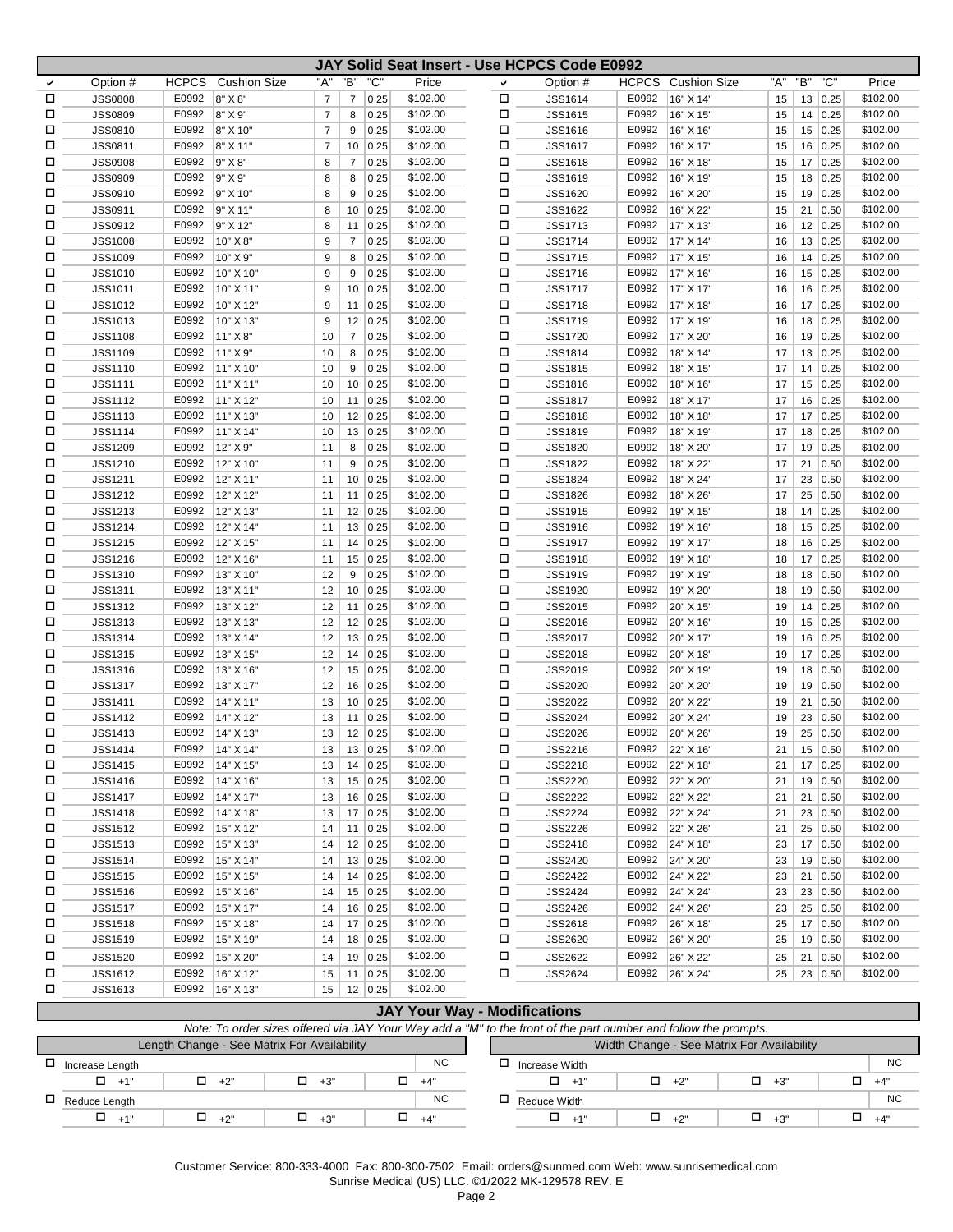|        |                |                |                     |                |                |                |                      |              | JAY Solid Seat Insert - Use HCPCS Code E0992 |                |                        |           |     |                      |                      |
|--------|----------------|----------------|---------------------|----------------|----------------|----------------|----------------------|--------------|----------------------------------------------|----------------|------------------------|-----------|-----|----------------------|----------------------|
| ✓      | Option #       | <b>HCPCS</b>   | <b>Cushion Size</b> | "A"            | "B"            | "C"            | Price                | $\checkmark$ | Option #                                     | <b>HCPCS</b>   | <b>Cushion Size</b>    | "A"       | "B" | "C"                  | Price                |
| □      | <b>JSS0808</b> | E0992          | 8" X 8"             | $\overline{7}$ | $\overline{7}$ | 0.25           | \$102.00             | □            | <b>JSS1614</b>                               | E0992          | 16" X 14"              | 15        |     | 13 0.25              | \$102.00             |
| □      | <b>JSS0809</b> | E0992          | 8" X 9"             | 7              | 8              | 0.25           | \$102.00             | □            | <b>JSS1615</b>                               | E0992          | 16" X 15"              | 15        |     | 14 0.25              | \$102.00             |
| □      | <b>JSS0810</b> | E0992          | 8" X 10"            | $\overline{7}$ | 9              | 0.25           | \$102.00             | □            | <b>JSS1616</b>                               | E0992          | 16" X 16"              | 15        |     | 15 0.25              | \$102.00             |
| □      | <b>JSS0811</b> | E0992          | 8" X 11"            | 7              | 10             | 0.25           | \$102.00             | □            | <b>JSS1617</b>                               | E0992          | 16" X 17"              | 15        |     | 16 0.25              | \$102.00             |
| □      | <b>JSS0908</b> | E0992          | 9" X 8"             | 8              | 7              | 0.25           | \$102.00             | □            | <b>JSS1618</b>                               | E0992          | 16" X 18"              | 15        |     | 17 0.25              | \$102.00             |
| □      | <b>JSS0909</b> | E0992          | 9" X 9"             | 8              | 8              | 0.25           | \$102.00             | □            | <b>JSS1619</b>                               | E0992          | 16" X 19"              | 15        |     | 18 0.25              | \$102.00             |
| П      | <b>JSS0910</b> | E0992          | 9" X 10"            | 8              | 9              | 0.25           | \$102.00             | □            | <b>JSS1620</b>                               | E0992          | 16" X 20'              | 15        |     | 19 0.25              | \$102.00             |
| □      | <b>JSS0911</b> | E0992          | 9" X 11"            | 8              | 10             | 0.25           | \$102.00             | □            | <b>JSS1622</b>                               | E0992          | 16" X 22"              | 15        |     | 21   0.50            | \$102.00             |
| □      | <b>JSS0912</b> | E0992          | 9" X 12"            | 8              | 11             | 0.25           | \$102.00             | □            | <b>JSS1713</b>                               | E0992          | 17" X 13"              | 16        |     | 12   0.25            | \$102.00             |
| □      | <b>JSS1008</b> | E0992          | 10" X 8"            | 9              | $\overline{7}$ | 0.25           | \$102.00             | □            | <b>JSS1714</b>                               | E0992          | 17" X 14"              | 16        |     | 13 0.25              | \$102.00             |
| □      | <b>JSS1009</b> | E0992          | 10" X 9"            | 9              | 8              | 0.25           | \$102.00             | □            | <b>JSS1715</b>                               | E0992          | 17" X 15"              | 16        |     | $14 \mid 0.25$       | \$102.00             |
| П      | JSS1010        | E0992          | 10" X 10"           | 9              | 9              | 0.25           | \$102.00             | □            | <b>JSS1716</b>                               | E0992          | 17" X 16'              | 16        |     | 15 0.25              | \$102.00             |
| □      | <b>JSS1011</b> | E0992          | 10" X 11"           | 9              | 10             | 0.25           | \$102.00             | □            | <b>JSS1717</b>                               | E0992          | 17" X 17"              | 16        |     | 16 0.25              | \$102.00             |
| □      | <b>JSS1012</b> | E0992          | 10" X 12"           | 9              | 11             | 0.25           | \$102.00             | □            | <b>JSS1718</b>                               | E0992          | 17" X 18"              | 16        |     | 17 0.25              | \$102.00             |
| □      | <b>JSS1013</b> | E0992          | 10" X 13"           | 9              | 12             | 0.25           | \$102.00             | □            | <b>JSS1719</b>                               | E0992          | 17" X 19"              | 16        |     | 18 0.25              | \$102.00             |
| □      | <b>JSS1108</b> | E0992          | 11" X 8"            | 10             | $\overline{7}$ | 0.25           | \$102.00             | □            | <b>JSS1720</b>                               | E0992          | 17" X 20"              | 16        |     | 19 0.25              | \$102.00             |
| П      | <b>JSS1109</b> | E0992          | 11" X 9"            |                | 8              |                | \$102.00             | □            | <b>JSS1814</b>                               | E0992          | 18" X 14"              | 17        |     |                      | \$102.00             |
| □      | JSS1110        | E0992          | 11" X 10"           | 10<br>10       | 9              | 0.25<br>0.25   | \$102.00             | □            | <b>JSS1815</b>                               | E0992          | 18" X 15"              | 17        |     | 13   0.25<br>14 0.25 | \$102.00             |
| □      | <b>JSS1111</b> | E0992          | 11" X 11"           |                |                | 0.25           | \$102.00             | □            | <b>JSS1816</b>                               | E0992          | 18" X 16"              |           |     | 15 0.25              | \$102.00             |
| □      |                |                |                     | 10             | 10             |                |                      | □            |                                              |                |                        | 17        |     |                      |                      |
|        | <b>JSS1112</b> | E0992          | 11" X 12"           | 10             | 11             | 0.25           | \$102.00             |              | <b>JSS1817</b>                               | E0992          | 18" X 17"              | 17        |     | 16 0.25              | \$102.00             |
| □      | <b>JSS1113</b> | E0992          | 11" X 13"           | 10             | 12             | 0.25           | \$102.00             | □            | <b>JSS1818</b>                               | E0992          | 18" X 18"              | 17        |     | $17 \mid 0.25$       | \$102.00             |
| П<br>□ | <b>JSS1114</b> | E0992<br>E0992 | 11" X 14"           | 10             | 13             | 0.25           | \$102.00             | □<br>□       | <b>JSS1819</b>                               | E0992<br>E0992 | 18" X 19"<br>18" X 20" | 17        |     | 18 0.25              | \$102.00<br>\$102.00 |
|        | <b>JSS1209</b> | E0992          | 12" X 9"            | 11             | 8              | 0.25           | \$102.00<br>\$102.00 |              | <b>JSS1820</b>                               | E0992          |                        | 17        |     | 19 0.25              | \$102.00             |
| □      | JSS1210        |                | 12" X 10"           | 11             | 9              | 0.25           |                      | □            | <b>JSS1822</b>                               |                | 18" X 22"              | 17        | 21  | 0.50                 |                      |
| □      | <b>JSS1211</b> | E0992          | 12" X 11"           | 11             | 10             | 0.25           | \$102.00             | □            | <b>JSS1824</b>                               | E0992          | 18" X 24"              | 17        |     | 23 0.50              | \$102.00             |
| □      | <b>JSS1212</b> | E0992          | 12" X 12"           | 11             | 11             | 0.25           | \$102.00             | □            | <b>JSS1826</b>                               | E0992          | 18" X 26'              | 17        |     | 25 0.50              | \$102.00             |
| П      | <b>JSS1213</b> | E0992          | 12" X 13"           | 11             |                | 12   0.25      | \$102.00             | □            | JSS1915                                      | E0992          | 19" X 15"              | 18        |     | $14 \mid 0.25$       | \$102.00             |
| □      | <b>JSS1214</b> | E0992          | 12" X 14"           | 11             | 13             | 0.25           | \$102.00             | □            | <b>JSS1916</b>                               | E0992          | 19" X 16"              | 18        |     | 15 0.25              | \$102.00             |
| □      | <b>JSS1215</b> | E0992          | 12" X 15"           | 11             | 14             | 0.25           | \$102.00             | □            | <b>JSS1917</b>                               | E0992          | 19" X 17"              | 18        |     | 16 0.25              | \$102.00             |
| □      | <b>JSS1216</b> | E0992          | 12" X 16"           | 11             | 15             | 0.25           | \$102.00             | □            | <b>JSS1918</b>                               | E0992          | 19" X 18"              | 18        |     | 17 0.25              | \$102.00             |
| □      | JSS1310        | E0992          | 13" X 10"           | 12             | 9              | 0.25           | \$102.00             | □            | <b>JSS1919</b>                               | E0992          | 19" X 19"              | 18        |     | $18$ 0.50            | \$102.00             |
| □      | JSS1311        | E0992          | 13" X 11"           | 12             | 10             | 0.25           | \$102.00             | □            | JSS1920                                      | E0992          | 19" X 20'              | 18        |     | 19 0.50              | \$102.00             |
| □      | <b>JSS1312</b> | E0992          | 13" X 12"           | 12             | 11             | 0.25           | \$102.00             | □            | JSS2015                                      | E0992          | 20" X 15"              | 19        |     | 14 0.25              | \$102.00             |
| □      | <b>JSS1313</b> | E0992          | 13" X 13"           | 12             |                | 12   0.25      | \$102.00             | □            | JSS2016                                      | E0992          | 20" X 16"              | 19        |     | 15 0.25              | \$102.00             |
| □      | <b>JSS1314</b> | E0992          | 13" X 14"           | 12             | 13             | 0.25           | \$102.00             | □            | <b>JSS2017</b>                               | E0992          | 20" X 17"              | 19        |     | 16 0.25              | \$102.00             |
| □      | <b>JSS1315</b> | E0992          | 13" X 15"           | 12             | 14             | 0.25           | \$102.00             | □            | JSS2018                                      | E0992          | 20" X 18"              | 19        |     | 17 0.25              | \$102.00             |
| П      | <b>JSS1316</b> | E0992          | 13" X 16"           | 12             |                | $15 \mid 0.25$ | \$102.00             | □            | JSS2019                                      | E0992          | 20" X 19"              | 19        |     | 18 0.50              | \$102.00             |
| □      | <b>JSS1317</b> | E0992          | 13" X 17"           | 12             | 16             | 0.25           | \$102.00             | □            | JSS2020                                      | E0992          | 20" X 20"              | 19        |     | 19 0.50              | \$102.00             |
| □      | <b>JSS1411</b> | E0992          | 14" X 11"           | 13             |                | 10 0.25        | \$102.00             | □            | <b>JSS2022</b>                               | E0992          | 20" X 22"              | 19        |     | 21   0.50            | \$102.00             |
| П      | <b>JSS1412</b> | E0992          | 14" X 12"           | 13             | 11             | 0.25           | \$102.00             | □            | JSS2024                                      | E0992          | 20" X 24"              | 19        |     | 23 0.50              | \$102.00             |
| П      | <b>JSS1413</b> | E0992          | 14" X 13"           | 13             | 12             | 0.25           | \$102.00             | □            | <b>JSS2026</b>                               | E0992          | 20" X 26"              | 19        | 25  | 0.50                 | \$102.00             |
| □      | JSS1414        | E0992          | 14" X 14"           | 13             | 13             | 0.25           | \$102.00             | □            | JSS2216                                      | E0992          | 22" X 16"              | 21        |     | 15 0.50              | \$102.00             |
| □      | JSS1415        | E0992          | $ 14"$ X 15"        | 13             |                | $14 \mid 0.25$ | \$102.00             | □            | <b>JSS2218</b>                               |                | E0992 22" X 18"        | 21        |     | $17 \mid 0.25$       | \$102.00             |
| □      | JSS1416        | E0992          | 14" X 16"           | 13             |                | 15   0.25      | \$102.00             | Д            | <b>JSS2220</b>                               | E0992          | 22" X 20"              | 21        |     | 19 0.50              | \$102.00             |
| □      | <b>JSS1417</b> | E0992          | 14" X 17"           | 13             |                | $16$ 0.25      | \$102.00             | □            | <b>JSS2222</b>                               | E0992          | 22" X 22"              | 21        |     | $21 \mid 0.50$       | \$102.00             |
| □      | <b>JSS1418</b> | E0992          | 14" X 18"           | 13             |                | 17 0.25        | \$102.00             | □            | <b>JSS2224</b>                               | E0992          | 22" X 24"              | 21        |     | $23 \mid 0.50$       | \$102.00             |
| □      | <b>JSS1512</b> | E0992          | 15" X 12"           | 14             |                | 11   0.25      | \$102.00             | Д            | <b>JSS2226</b>                               | E0992          | 22" X 26"              | 21        |     | $25 \mid 0.50$       | \$102.00             |
| □      | <b>JSS1513</b> | E0992          | 15" X 13"           | 14             |                | 12   0.25      | \$102.00             | □            | <b>JSS2418</b>                               |                | E0992 24" X 18"        | 23        |     | 17 0.50              | \$102.00             |
| □      | <b>JSS1514</b> | E0992          | 15" X 14"           | 14             |                | 13   0.25      | \$102.00             | □            | <b>JSS2420</b>                               | E0992          | 24" X 20"              | 23        |     | 19 0.50              | \$102.00             |
| □      | <b>JSS1515</b> | E0992          | 15" X 15"           | 14             |                | 14   0.25      | \$102.00             | о            | <b>JSS2422</b>                               | E0992          | 24" X 22"              | 23        |     | 21   0.50            | \$102.00             |
| □      | <b>JSS1516</b> | E0992          | 15" X 16"           | 14             |                | 15 0.25        | \$102.00             | □            | <b>JSS2424</b>                               | E0992          | 24" X 24"              | 23        |     | $23 \mid 0.50$       | \$102.00             |
| □      | <b>JSS1517</b> | E0992          | 15" X 17"           | 14             |                | $16 \mid 0.25$ | \$102.00             | □            | <b>JSS2426</b>                               | E0992          | 24" X 26"              | 23        |     | $25 \mid 0.50$       | \$102.00             |
| □      | <b>JSS1518</b> | E0992          | 15" X 18"           | 14             |                | $17 \mid 0.25$ | \$102.00             | □            | <b>JSS2618</b>                               | E0992          | 26" X 18"              | 25        |     | 17 0.50              | \$102.00             |
| □      | <b>JSS1519</b> | E0992          | 15" X 19"           | 14             |                | $18 \mid 0.25$ | \$102.00             | Д            | <b>JSS2620</b>                               | E0992          | 26" X 20"              | 25        |     | 19 0.50              | \$102.00             |
| □      | <b>JSS1520</b> | E0992          | 15" X 20"           | 14             |                | 19 0.25        | \$102.00             | □            | <b>JSS2622</b>                               | E0992          | 26" X 22"              | 25        |     | $21 \mid 0.50$       | \$102.00             |
| □      | JSS1612        | E0992          | 16" X 12"           | 15             |                | 11   0.25      | \$102.00             | □            | <b>JSS2624</b>                               |                | E0992 26" X 24"        | $25 \mid$ |     | $23 \mid 0.50$       | \$102.00             |
| $\Box$ | <b>JSS1613</b> | E0992          | 16" X 13"           | 15             |                | $12 \mid 0.25$ | \$102.00             |              |                                              |                |                        |           |     |                      |                      |

| <b>JAY Your Way - Modifications</b>                                                                             |            |                                             |           |                                            |                |                 |            |            |  |  |  |  |  |
|-----------------------------------------------------------------------------------------------------------------|------------|---------------------------------------------|-----------|--------------------------------------------|----------------|-----------------|------------|------------|--|--|--|--|--|
| Note: To order sizes offered via JAY Your Way add a "M" to the front of the part number and follow the prompts. |            |                                             |           |                                            |                |                 |            |            |  |  |  |  |  |
|                                                                                                                 |            | Length Change - See Matrix For Availability |           | Width Change - See Matrix For Availability |                |                 |            |            |  |  |  |  |  |
| Increase Length                                                                                                 |            |                                             | NC.       |                                            | Increase Width |                 |            | <b>NC</b>  |  |  |  |  |  |
| 0<br>$+1"$                                                                                                      | $\Box$ +2" | $+3"$                                       | □ +4"     |                                            | $\Box$ +1'     | П.<br>$+2"$     | $\Box$ +3" | п<br>$+4"$ |  |  |  |  |  |
| $\Box$ Reduce Length                                                                                            |            |                                             | <b>NC</b> |                                            | Reduce Width   |                 |            | <b>NC</b>  |  |  |  |  |  |
| $+1"$                                                                                                           | $\Box$ +2" | $+3"$                                       | "4+ لَ    |                                            | $\Box$ +1      | $\Box$<br>$+2"$ | $\Box$ +3" | $+4"$      |  |  |  |  |  |

Customer Service: 800-333-4000 Fax: 800-300-7502 Email: orders@sunmed.com Web: www.sunrisemedical.com

Sunrise Medical (US) LLC. ©1/2022 MK-129578 REV. E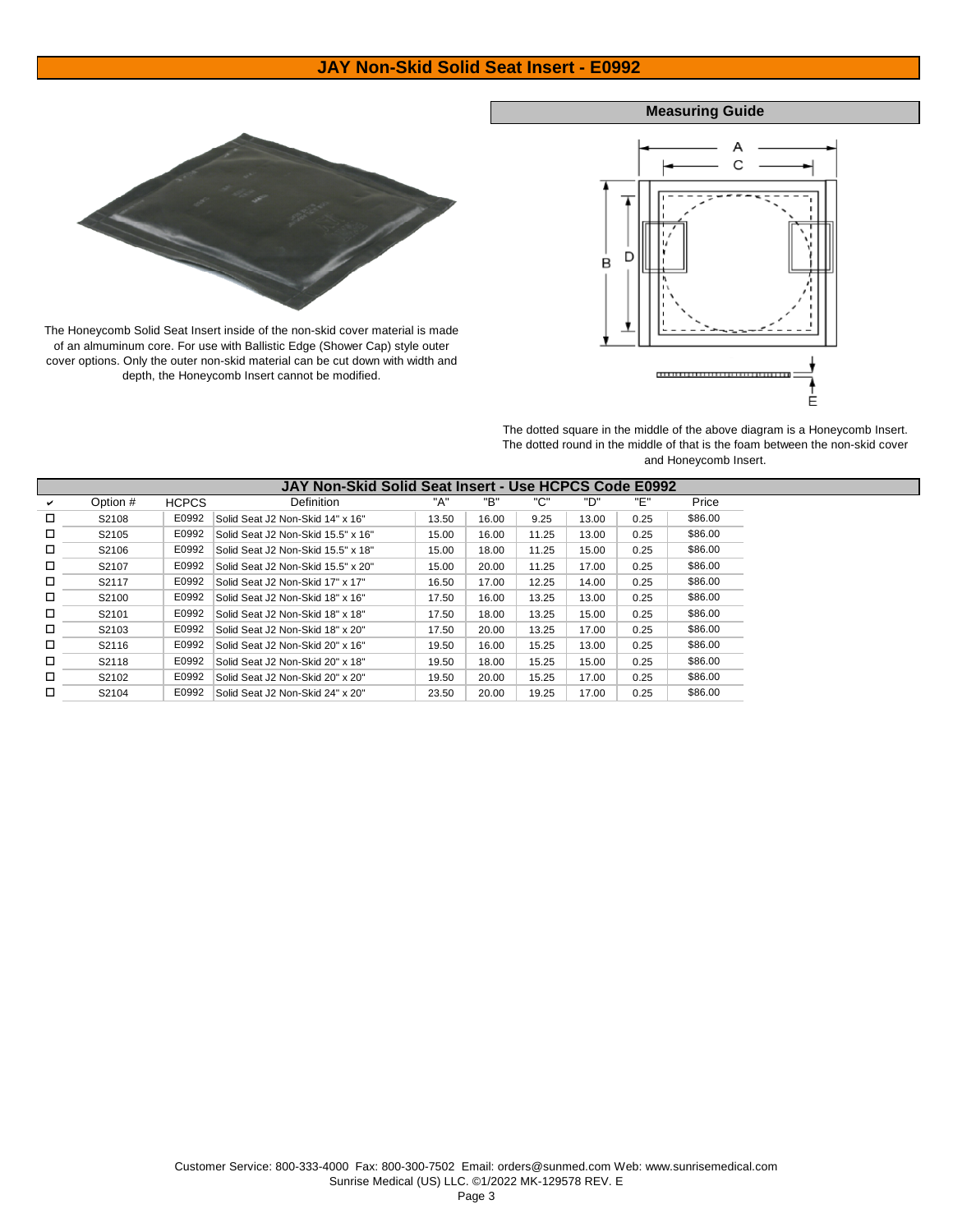## **JAY Non-Skid Solid Seat Insert - E0992**

### **Measuring Guide**





The dotted square in the middle of the above diagram is a Honeycomb Insert. The dotted round in the middle of that is the foam between the non-skid cover and Honeycomb Insert.

|   |                   |              | JAY Non-Skid Solid Seat Insert - Use HCPCS Code E0992 |       |       |       |       |      |         |
|---|-------------------|--------------|-------------------------------------------------------|-------|-------|-------|-------|------|---------|
| ✓ | Option #          | <b>HCPCS</b> | Definition                                            | "A"   | "B"   | "ር"   | "ט"   | "F"  | Price   |
| □ | S2108             | E0992        | Solid Seat J2 Non-Skid 14" x 16"                      | 13.50 | 16.00 | 9.25  | 13.00 | 0.25 | \$86.00 |
| ◻ | S2105             | E0992        | Solid Seat J2 Non-Skid 15.5" x 16"                    | 15.00 | 16.00 | 11.25 | 13.00 | 0.25 | \$86.00 |
| ◻ | S2106             | E0992        | Solid Seat J2 Non-Skid 15.5" x 18"                    | 15.00 | 18.00 | 11.25 | 15.00 | 0.25 | \$86.00 |
| □ | S2107             | E0992        | Solid Seat J2 Non-Skid 15.5" x 20"                    | 15.00 | 20.00 | 11.25 | 17.00 | 0.25 | \$86.00 |
| ◻ | S2117             | E0992        | Solid Seat J2 Non-Skid 17" x 17"                      | 16.50 | 17.00 | 12.25 | 14.00 | 0.25 | \$86.00 |
| ◻ | S <sub>2100</sub> | E0992        | Solid Seat J2 Non-Skid 18" x 16"                      | 17.50 | 16.00 | 13.25 | 13.00 | 0.25 | \$86.00 |
| □ | S2101             | E0992        | Solid Seat J2 Non-Skid 18" x 18"                      | 17.50 | 18.00 | 13.25 | 15.00 | 0.25 | \$86.00 |
| □ | S <sub>2103</sub> | E0992        | Solid Seat J2 Non-Skid 18" x 20"                      | 17.50 | 20.00 | 13.25 | 17.00 | 0.25 | \$86.00 |
| ◻ | S2116             | E0992        | Solid Seat J2 Non-Skid 20" x 16"                      | 19.50 | 16.00 | 15.25 | 13.00 | 0.25 | \$86.00 |
| □ | S2118             | E0992        | Solid Seat J2 Non-Skid 20" x 18"                      | 19.50 | 18.00 | 15.25 | 15.00 | 0.25 | \$86.00 |
| □ | S2102             | E0992        | Solid Seat J2 Non-Skid 20" x 20"                      | 19.50 | 20.00 | 15.25 | 17.00 | 0.25 | \$86.00 |
|   | S2104             | E0992        | Solid Seat J2 Non-Skid 24" x 20"                      | 23.50 | 20.00 | 19.25 | 17.00 | 0.25 | \$86.00 |



The Honeycomb Solid Seat Insert inside of the non-skid cover material is made of an almuminum core. For use with Ballistic Edge (Shower Cap) style outer cover options. Only the outer non-skid material can be cut down with width and depth, the Honeycomb Insert cannot be modified.